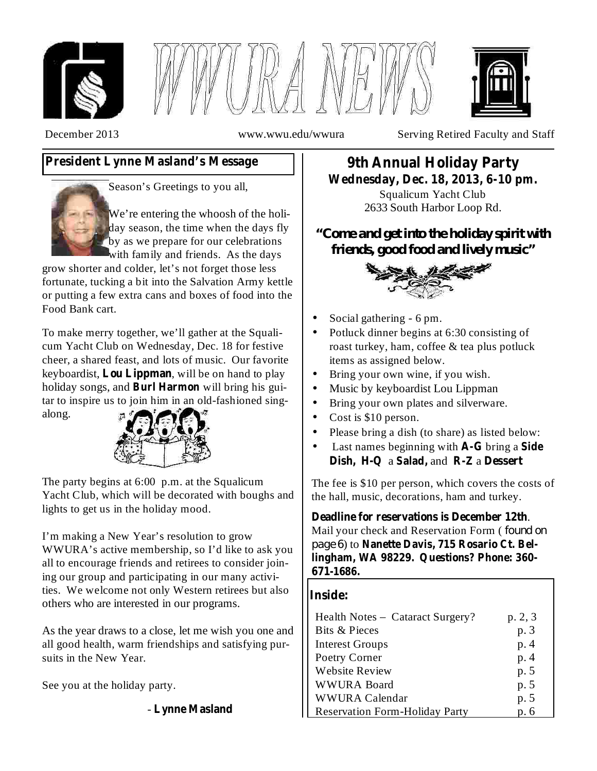





December 2013 www.wwu.edu/wwura Serving Retired Faculty and Staff

# **President Lynne Masland's Message**



Season's Greetings to you all,

We're entering the whoosh of the holiday season, the time when the days fly by as we prepare for our celebrations with family and friends. As the days

grow shorter and colder, let's not forget those less fortunate, tucking a bit into the Salvation Army kettle or putting a few extra cans and boxes of food into the Food Bank cart.

To make merry together, we'll gather at the Squalicum Yacht Club on Wednesday, Dec. 18 for festive cheer, a shared feast, and lots of music. Our favorite keyboardist, Lou Lippman, will be on hand to play holiday songs, and **Burl Harmon** will bring his guitar to inspire us to join him in an old-fashioned singalong.



The party begins at 6:00 p.m. at the Squalicum Yacht Club, which will be decorated with boughs and lights to get us in the holiday mood.

I'm making a New Year's resolution to grow WWURA's active membership, so I'd like to ask you all to encourage friends and retirees to consider joining our group and participating in our many activities. We welcome not only Western retirees but also others who are interested in our programs.

As the year draws to a close, let me wish you one and all good health, warm friendships and satisfying pursuits in the New Year.

See you at the holiday party.

- **Lynne Masland**

# **9th Annual Holiday Party Wednesday, Dec. 18, 2013, 6-10 pm.**

Squalicum Yacht Club 2633 South Harbor Loop Rd.

*"Come and get into the holiday spirit with friends, good food and lively music"*



- Social gathering 6 pm. •
- Potluck dinner begins at 6:30 consisting of roast turkey, ham, coffee & tea plus potluck items as assigned below. •
- Bring your own wine, if you wish. •
- Music by keyboardist Lou Lippman •
- Bring your own plates and silverware. •
- Cost is \$10 person. •
- Please bring a dish (to share) as listed below: •
- Last names beginning with **A-G** bring a **Side** Dish, H-Q a Salad, and R-Z a Dessert •

The fee is \$10 per person, which covers the costs of the hall, music, decorations, ham and turkey.

. **Deadline for reservations is December 12th** Mail your check and Reservation Form ( *found on* ) to **Nanette Davis, 715 Rosario Ct. Bel-***page 6***lingham, WA 98229. Questions? Phone: 360- 671-1686.**

### **Inside:**

| Health Notes – Cataract Surgery?      | p. 2, 3 |
|---------------------------------------|---------|
| Bits & Pieces                         | p. 3    |
| <b>Interest Groups</b>                | p. 4    |
| Poetry Corner                         | p.4     |
| <b>Website Review</b>                 | p. 5    |
| <b>WWURA Board</b>                    | p. 5    |
| <b>WWURA Calendar</b>                 | p. 5    |
| <b>Reservation Form-Holiday Party</b> | p. 6    |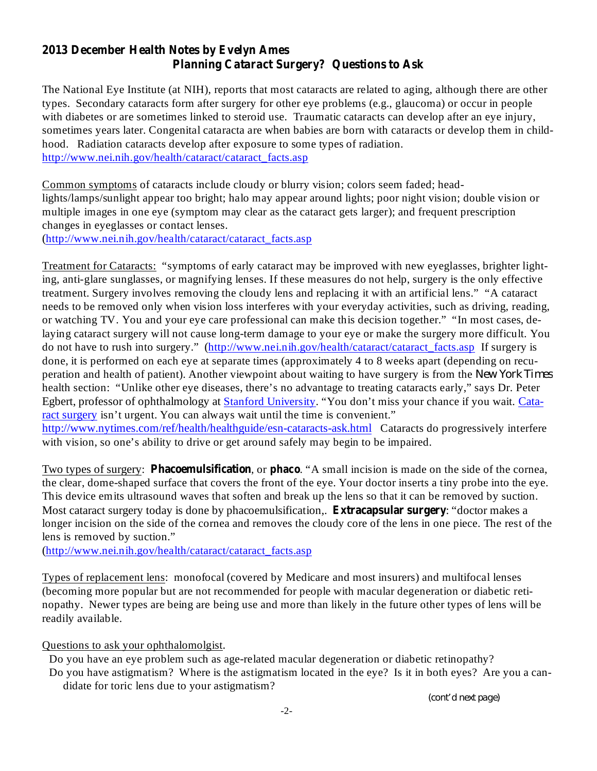## **2013 December Health Notes by Evelyn Ames Planning Cataract Surgery? Questions to Ask**

The National Eye Institute (at NIH), reports that most cataracts are related to aging, although there are other types. Secondary cataracts form after surgery for other eye problems (e.g., glaucoma) or occur in people with diabetes or are sometimes linked to steroid use. Traumatic cataracts can develop after an eye injury, sometimes years later. Congenital cataracta are when babies are born with cataracts or develop them in childhood. Radiation cataracts develop after exposure to some types of radiation. http://www.nei.nih.gov/health/cataract/cataract\_facts.asp

Common symptoms of cataracts include cloudy or blurry vision; colors seem faded; headlights/lamps/sunlight appear too bright; halo may appear around lights; poor night vision; double vision or multiple images in one eye (symptom may clear as the cataract gets larger); and frequent prescription changes in eyeglasses or contact lenses.

(http://www.nei.nih.gov/health/cataract/cataract\_facts.asp

Treatment for Cataracts: "symptoms of early cataract may be improved with new eyeglasses, brighter lighting, anti-glare sunglasses, or magnifying lenses. If these measures do not help, surgery is the only effective treatment. Surgery involves removing the cloudy lens and replacing it with an artificial lens." "A cataract needs to be removed only when vision loss interferes with your everyday activities, such as driving, reading, or watching TV. You and your eye care professional can make this decision together." "In most cases, delaying cataract surgery will not cause long-term damage to your eye or make the surgery more difficult. You do not have to rush into surgery." (http://www.nei.nih.gov/health/cataract/cataract\_facts.asp If surgery is done, it is performed on each eye at separate times (approximately 4 to 8 weeks apart (depending on recuperation and health of patient). Another viewpoint about waiting to have surgery is from the *New York Times* health section: "Unlike other eye diseases, there's no advantage to treating cataracts early," says Dr. Peter Egbert, professor of ophthalmology at **Stanford University**. "You don't miss your chance if you wait. Cataract surgery isn't urgent. You can always wait until the time is convenient."

http://www.nytimes.com/ref/health/healthguide/esn-cataracts-ask.html Cataracts do progressively interfere with vision, so one's ability to drive or get around safely may begin to be impaired.

Two types of surgery: **Phacoemulsification**, or **phaco**. "A small incision is made on the side of the cornea, the clear, dome-shaped surface that covers the front of the eye. Your doctor inserts a tiny probe into the eye. This device emits ultrasound waves that soften and break up the lens so that it can be removed by suction. Most cataract surgery today is done by phacoemulsification,. **Extracapsular surgery**: "doctor makes a longer incision on the side of the cornea and removes the cloudy core of the lens in one piece. The rest of the lens is removed by suction."

(http://www.nei.nih.gov/health/cataract/cataract\_facts.asp

Types of replacement lens: monofocal (covered by Medicare and most insurers) and multifocal lenses (becoming more popular but are not recommended for people with macular degeneration or diabetic retinopathy. Newer types are being are being use and more than likely in the future other types of lens will be readily available.

Questions to ask your ophthalomolgist.

Do you have an eye problem such as age-related macular degeneration or diabetic retinopathy? Do you have astigmatism? Where is the astigmatism located in the eye? Is it in both eyes? Are you a can-

didate for toric lens due to your astigmatism?

*(cont'd next page)*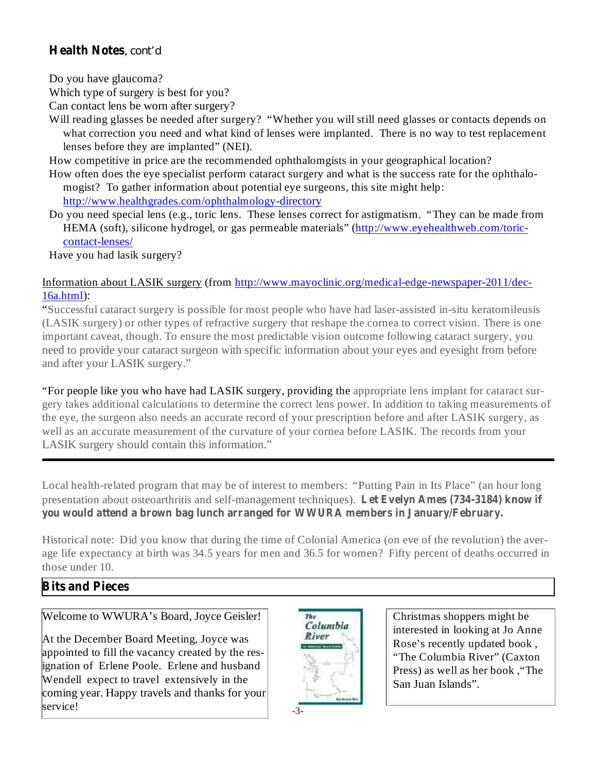### **Health Notes** , *cont'd*

Do you have glaucoma?

Which type of surgery is best for you?

Can contact lens be worn after surgery?

Will reading glasses be needed after surgery? "Whether you will still need glasses or contacts depends on what correction you need and what kind of lenses were implanted. There is no way to test replacement lenses before they are implanted" (NEI).

How competitive in price are the recommended ophthalomgists in your geographical location?

How often does the eye specialist perform cataract surgery and what is the success rate for the ophthalomogist? To gather information about potential eye surgeons, this site might help: http://www.healthgrades.com/ophthalmology-directory

Do you need special lens (e.g., toric lens. These lenses correct for astigmatism. "They can be made from HEMA (soft), silicone hydrogel, or gas permeable materials" (http://www.eyehealthweb.com/toriccontact-lenses/

Have you had lasik surgery?

### Information about LASIK surgery (from http://www.mayoclinic.org/medical-edge-newspaper-2011/dec-16a.html):

"Successful cataract surgery is possible for most people who have had laser-assisted in-situ keratomileusis (LASIK surgery) or other types of refractive surgery that reshape the cornea to correct vision. There is one important caveat, though. To ensure the most predictable vision outcome following cataract surgery, you need to provide your cataract surgeon with specific information about your eyes and eyesight from before and after your LASIK surgery."

"For people like you who have had LASIK surgery, providing the appropriate lens implant for cataract surgery takes additional calculations to determine the correct lens power. In addition to taking measurements of the eye, the surgeon also needs an accurate record of your prescription before and after LASIK surgery, as well as an accurate measurement of the curvature of your cornea before LASIK. The records from your LASIK surgery should contain this information."

**Let Evelyn Ames (734-3184) know if** presentation about osteoarthritis and self-management techniques). **you would attend a brown bag lunch arranged for WWURA members in January/February.** Local health-related program that may be of interest to members: "Putting Pain in Its Place" (an hour long

Historical note: Did you know that during the time of Colonial America (on eve of the revolution) the average life expectancy at birth was 34.5 years for men and 36.5 for women? Fifty percent of deaths occurred in those under 10.

# **Bits and Pieces**

# Welcome to WWURA's Board, Joyce Geisler!

At the December Board Meeting, Joyce was appointed to fill the vacancy created by the resignation of Erlene Poole. Erlene and husband Wendell expect to travel extensively in the coming year. Happy travels and thanks for your service!



Christmas shoppers might be interested in looking at Jo Anne Rose's recently updated book , "The Columbia River" (Caxton Press) as well as her book ,"The San Juan Islands".

-3-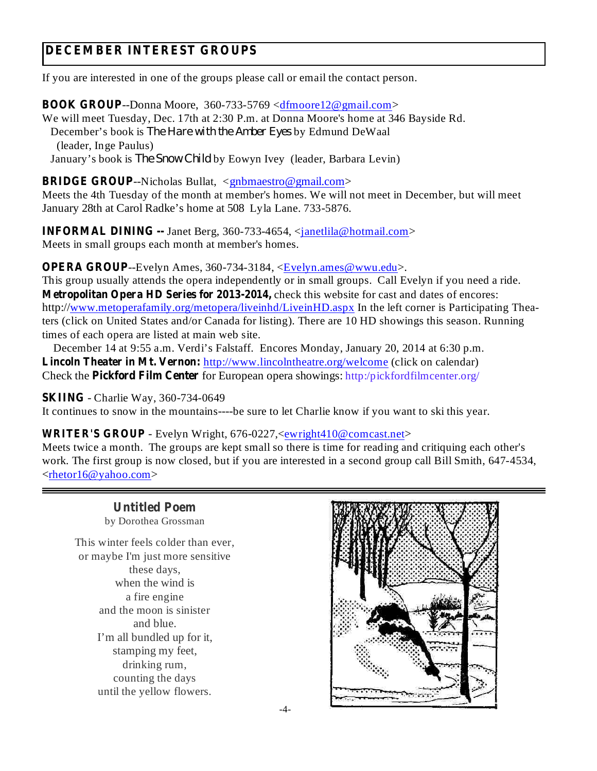# **DECEMBER INTEREST GROUPS**

If you are interested in one of the groups please call or email the contact person.

**BOOK GROUP** --Donna Moore, 360-733-5769 <dfmoore12@gmail.com>

We will meet Tuesday, Dec. 17th at 2:30 P.m. at Donna Moore's home at 346 Bayside Rd.

December's book is *The Hare with the Amber Eyes* by Edmund DeWaal (leader, Inge Paulus)

January's book is *The Snow Child* by Eowyn Ivey (leader, Barbara Levin)

**BRIDGE GROUP**--Nicholas Bullat, <gnbmaestro@gmail.com>

Meets the 4th Tuesday of the month at member's homes. We will not meet in December, but will meet January 28th at Carol Radke's home at 508 Lyla Lane. 733-5876.

**INFORMAL DINING --** Janet Berg, 360-733-4654, <janetlila@hotmail.com> Meets in small groups each month at member's homes.

**OPERA GROUP**--Evelyn Ames, 360-734-3184, <Evelyn.ames@wwu.edu>.

**Metropolitan Opera HD Series for 2013-2014,** check this website for cast and dates of encores: This group usually attends the opera independently or in small groups. Call Evelyn if you need a ride. http://www.metoperafamily.org/metopera/liveinhd/LiveinHD.aspx In the left corner is Participating Theaters (click on United States and/or Canada for listing). There are 10 HD showings this season. Running times of each opera are listed at main web site.

**Lincoln Theater in Mt. Vernon:** http://www.lincolntheatre.org/welcome (click on calendar) **Check the Pickford Film Center** for European opera showings: http:/pickfordfilmcenter.org/ December 14 at 9:55 a.m. Verdi's Falstaff. Encores Monday, January 20, 2014 at 6:30 p.m.

**SKIING** - Charlie Way, 360-734-0649

It continues to snow in the mountains----be sure to let Charlie know if you want to ski this year.

#### **WRITER'S GROUP** - Evelyn Wright, 676-0227,<ewright410@comcast.net>

Meets twice a month. The groups are kept small so there is time for reading and critiquing each other's work. The first group is now closed, but if you are interested in a second group call Bill Smith, 647-4534, <rhetor16@yahoo.com>

by Dorothea Grossman This winter feels colder than ever, or maybe I'm just more sensitive these days, when the wind is a fire engine and the moon is sinister and blue. I'm all bundled up for it, stamping my feet, drinking rum, counting the days until the yellow flowers.

**Untitled Poem**

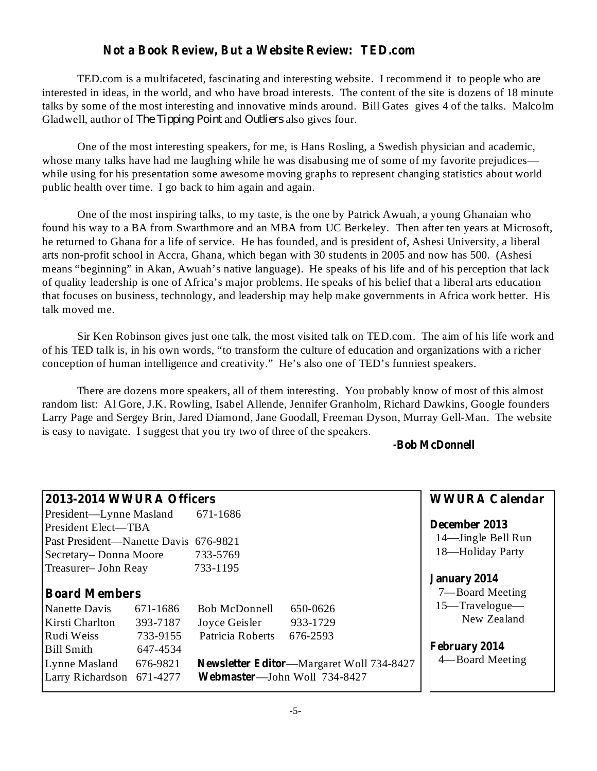### **Not a Book Review, But a Website Review: TED.com**

TED.com is a multifaceted, fascinating and interesting website. I recommend it to people who are interested in ideas, in the world, and who have broad interests. The content of the site is dozens of 18 minute talks by some of the most interesting and innovative minds around. Bill Gates gives 4 of the talks. Malcolm Gladwell, author of *The Tipping Point* and *Outliers* also gives four.

One of the most interesting speakers, for me, is Hans Rosling, a Swedish physician and academic, whose many talks have had me laughing while he was disabusing me of some of my favorite prejudices while using for his presentation some awesome moving graphs to represent changing statistics about world public health over time. I go back to him again and again.

One of the most inspiring talks, to my taste, is the one by Patrick Awuah, a young Ghanaian who found his way to a BA from Swarthmore and an MBA from UC Berkeley. Then after ten years at Microsoft, he returned to Ghana for a life of service. He has founded, and is president of, Ashesi University, a liberal arts non-profit school in Accra, Ghana, which began with 30 students in 2005 and now has 500. (Ashesi means "beginning" in Akan, Awuah's native language). He speaks of his life and of his perception that lack of quality leadership is one of Africa's major problems. He speaks of his belief that a liberal arts education that focuses on business, technology, and leadership may help make governments in Africa work better. His talk moved me.

Sir Ken Robinson gives just one talk, the most visited talk on TED.com. The aim of his life work and of his TED talk is, in his own words, "to transform the culture of education and organizations with a richer conception of human intelligence and creativity." He's also one of TED's funniest speakers.

There are dozens more speakers, all of them interesting. You probably know of most of this almost random list: Al Gore, J.K. Rowling, Isabel Allende, Jennifer Granholm, Richard Dawkins, Google founders Larry Page and Sergey Brin, Jared Diamond, Jane Goodall, Freeman Dyson, Murray Gell-Man. The website is easy to navigate. I suggest that you try two of three of the speakers.

**-Bob McDonnell**

| 2013-2014 WWURA Officers              |                                                 | <b>WWURA Calendar</b> |
|---------------------------------------|-------------------------------------------------|-----------------------|
| President-Lynne Masland 671-1686      |                                                 |                       |
| President Elect—TBA                   |                                                 | December 2013         |
| Past President—Nanette Davis 676-9821 |                                                 | 14—Jingle Bell Run    |
| Secretary-Donna Moore                 | 733-5769                                        | 18-Holiday Party      |
| Treasurer-John Reay                   | 733-1195                                        |                       |
|                                       |                                                 | <b>January 2014</b>   |
| <b>Board Members</b>                  |                                                 | 7—Board Meeting       |
| Nanette Davis<br>671-1686             | <b>Bob McDonnell</b><br>650-0626                | 15-Travelogue-        |
| Kirsti Charlton<br>393-7187           | Joyce Geisler<br>933-1729                       | New Zealand           |
| Rudi Weiss<br>733-9155                | Patricia Roberts<br>676-2593                    |                       |
| <b>Bill Smith</b><br>647-4534         |                                                 | <b>February 2014</b>  |
| Lynne Masland<br>676-9821             | <b>Newsletter Editor—Margaret Woll 734-8427</b> | 4—Board Meeting       |
| Larry Richardson 671-4277             | Webmaster-John Woll 734-8427                    |                       |